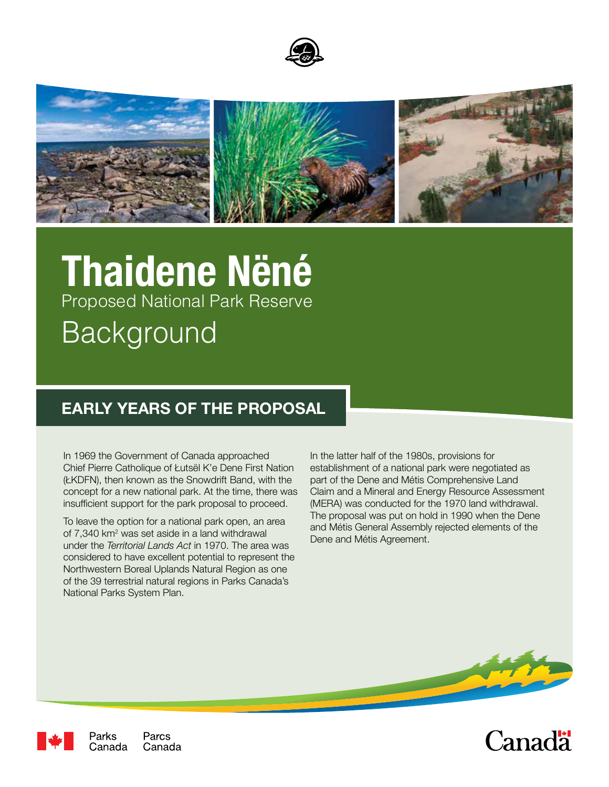



# **Thaidene Nëné** Proposed National Park Reserve Background

## **EARLY YEARS OF THE PROPOSAL**

In 1969 the Government of Canada approached Chief Pierre Catholique of Łutsël K'e Dene First Nation (ŁKDFN), then known as the Snowdrift Band, with the concept for a new national park. At the time, there was insufficient support for the park proposal to proceed.

To leave the option for a national park open, an area of 7,340 km<sup>2</sup> was set aside in a land withdrawal under the *Territorial Lands Act* in 1970. The area was considered to have excellent potential to represent the Northwestern Boreal Uplands Natural Region as one of the 39 terrestrial natural regions in Parks Canada's National Parks System Plan.

In the latter half of the 1980s, provisions for establishment of a national park were negotiated as part of the Dene and Métis Comprehensive Land Claim and a Mineral and Energy Resource Assessment (MERA) was conducted for the 1970 land withdrawal. The proposal was put on hold in 1990 when the Dene and Métis General Assembly rejected elements of the Dene and Métis Agreement.